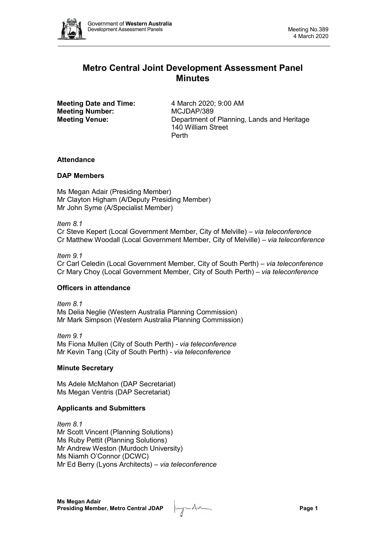

# **Metro Central Joint Development Assessment Panel Minutes**

**Meeting Date and Time:** 4 March 2020; 9:00 AM **Meeting Number:** MCJDAP/389

**Meeting Venue:** Department of Planning, Lands and Heritage 140 William Street Perth

## **Attendance**

## **DAP Members**

Ms Megan Adair (Presiding Member) Mr Clayton Higham (A/Deputy Presiding Member) Mr John Syme (A/Specialist Member)

*Item 8.1*

Cr Steve Kepert (Local Government Member, City of Melville) – *via teleconference* Cr Matthew Woodall (Local Government Member, City of Melville) *– via teleconference*

## *Item 9.1*

Cr Carl Celedin (Local Government Member, City of South Perth) – *via teleconference* Cr Mary Choy (Local Government Member, City of South Perth) – *via teleconference*

## **Officers in attendance**

*Item 8.1* Ms Delia Neglie (Western Australia Planning Commission) Mr Mark Simpson (Western Australia Planning Commission)

*Item 9.1* Ms Fiona Mullen (City of South Perth) *- via teleconference* Mr Kevin Tang (City of South Perth) *- via teleconference*

## **Minute Secretary**

Ms Adele McMahon (DAP Secretariat) Ms Megan Ventris (DAP Secretariat)

## **Applicants and Submitters**

*Item 8.1* Mr Scott Vincent (Planning Solutions) Ms Ruby Pettit (Planning Solutions) Mr Andrew Weston (Murdoch University) Ms Niamh O'Connor (DCWC) Mr Ed Berry (Lyons Architects) – *via teleconference*

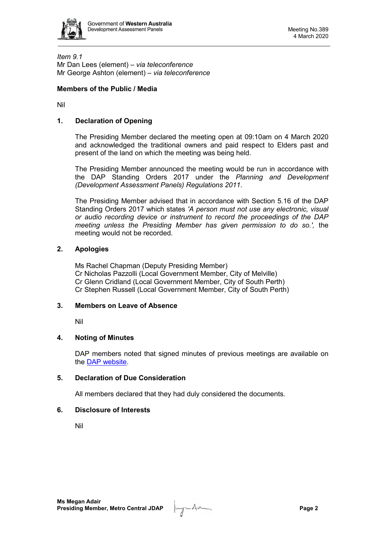

*Item 9.1* Mr Dan Lees (element) – *via teleconference* Mr George Ashton (element) – *via teleconference*

# **Members of the Public / Media**

Nil

## **1. Declaration of Opening**

The Presiding Member declared the meeting open at 09:10am on 4 March 2020 and acknowledged the traditional owners and paid respect to Elders past and present of the land on which the meeting was being held.

The Presiding Member announced the meeting would be run in accordance with the DAP Standing Orders 2017 under the *Planning and Development (Development Assessment Panels) Regulations 2011*.

The Presiding Member advised that in accordance with Section 5.16 of the DAP Standing Orders 2017 which states *'A person must not use any electronic, visual or audio recording device or instrument to record the proceedings of the DAP meeting unless the Presiding Member has given permission to do so.',* the meeting would not be recorded.

## **2. Apologies**

Ms Rachel Chapman (Deputy Presiding Member) Cr Nicholas Pazzolli (Local Government Member, City of Melville) Cr Glenn Cridland (Local Government Member, City of South Perth) Cr Stephen Russell (Local Government Member, City of South Perth)

## **3. Members on Leave of Absence**

Nil

## **4. Noting of Minutes**

DAP members noted that signed minutes of previous meetings are available on the [DAP website.](https://www.dplh.wa.gov.au/about/development-assessment-panels/daps-agendas-and-minutes)

## **5. Declaration of Due Consideration**

All members declared that they had duly considered the documents.

## **6. Disclosure of Interests**

Nil

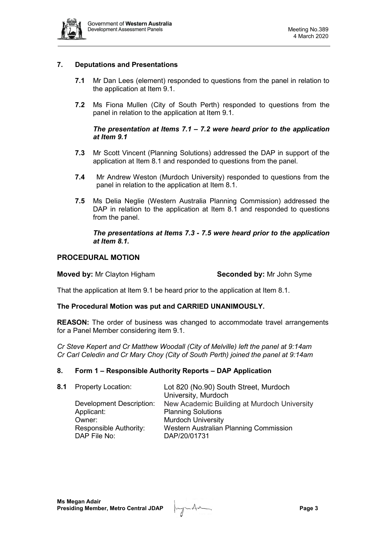

# **7. Deputations and Presentations**

- **7.1** Mr Dan Lees (element) responded to questions from the panel in relation to the application at Item 9.1.
- **7.2** Ms Fiona Mullen (City of South Perth) responded to questions from the panel in relation to the application at Item 9.1.

# *The presentation at Items 7.1 – 7.2 were heard prior to the application at Item 9.1*

- **7.3** Mr Scott Vincent (Planning Solutions) addressed the DAP in support of the application at Item 8.1 and responded to questions from the panel.
- **7.4** Mr Andrew Weston (Murdoch University) responded to questions from the panel in relation to the application at Item 8.1.
- **7.5** Ms Delia Neglie (Western Australia Planning Commission) addressed the DAP in relation to the application at Item 8.1 and responded to questions from the panel.

*The presentations at Items 7.3 - 7.5 were heard prior to the application at Item 8.1.* 

## **PROCEDURAL MOTION**

**Moved by:** Mr Clayton Higham **Seconded by:** Mr John Syme

That the application at Item 9.1 be heard prior to the application at Item 8.1.

## **The Procedural Motion was put and CARRIED UNANIMOUSLY.**

**REASON:** The order of business was changed to accommodate travel arrangements for a Panel Member considering item 9.1.

*Cr Steve Kepert and Cr Matthew Woodall (City of Melville) left the panel at 9:14am Cr Carl Celedin and Cr Mary Choy (City of South Perth) joined the panel at 9:14am*

## **8. Form 1 – Responsible Authority Reports – DAP Application**

| 8.1 | <b>Property Location:</b> | Lot 820 (No.90) South Street, Murdoch       |
|-----|---------------------------|---------------------------------------------|
|     |                           | University, Murdoch                         |
|     | Development Description:  | New Academic Building at Murdoch University |
|     | Applicant:                | <b>Planning Solutions</b>                   |
|     | Owner:                    | <b>Murdoch University</b>                   |
|     | Responsible Authority:    | Western Australian Planning Commission      |
|     | DAP File No:              | DAP/20/01731                                |
|     |                           |                                             |

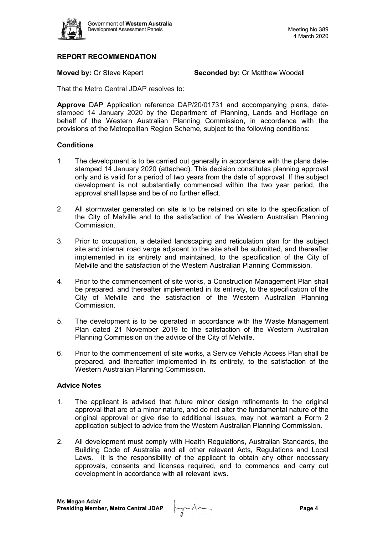

# **REPORT RECOMMENDATION**

**Moved by: Cr Steve Kepert <b>Seconded by: Cr Matthew Woodall** 

That the Metro Central JDAP resolves to:

**Approve** DAP Application reference DAP/20/01731 and accompanying plans, datestamped 14 January 2020 by the Department of Planning, Lands and Heritage on behalf of the Western Australian Planning Commission, in accordance with the provisions of the Metropolitan Region Scheme, subject to the following conditions:

## **Conditions**

- 1. The development is to be carried out generally in accordance with the plans datestamped 14 January 2020 (attached). This decision constitutes planning approval only and is valid for a period of two years from the date of approval. If the subject development is not substantially commenced within the two year period, the approval shall lapse and be of no further effect.
- 2. All stormwater generated on site is to be retained on site to the specification of the City of Melville and to the satisfaction of the Western Australian Planning Commission.
- 3. Prior to occupation, a detailed landscaping and reticulation plan for the subject site and internal road verge adjacent to the site shall be submitted, and thereafter implemented in its entirety and maintained, to the specification of the City of Melville and the satisfaction of the Western Australian Planning Commission.
- 4. Prior to the commencement of site works, a Construction Management Plan shall be prepared, and thereafter implemented in its entirety, to the specification of the City of Melville and the satisfaction of the Western Australian Planning Commission.
- 5. The development is to be operated in accordance with the Waste Management Plan dated 21 November 2019 to the satisfaction of the Western Australian Planning Commission on the advice of the City of Melville.
- 6. Prior to the commencement of site works, a Service Vehicle Access Plan shall be prepared, and thereafter implemented in its entirety, to the satisfaction of the Western Australian Planning Commission.

#### **Advice Notes**

- 1. The applicant is advised that future minor design refinements to the original approval that are of a minor nature, and do not alter the fundamental nature of the original approval or give rise to additional issues, may not warrant a Form 2 application subject to advice from the Western Australian Planning Commission.
- 2. All development must comply with Health Regulations, Australian Standards, the Building Code of Australia and all other relevant Acts, Regulations and Local Laws. It is the responsibility of the applicant to obtain any other necessary approvals, consents and licenses required, and to commence and carry out development in accordance with all relevant laws.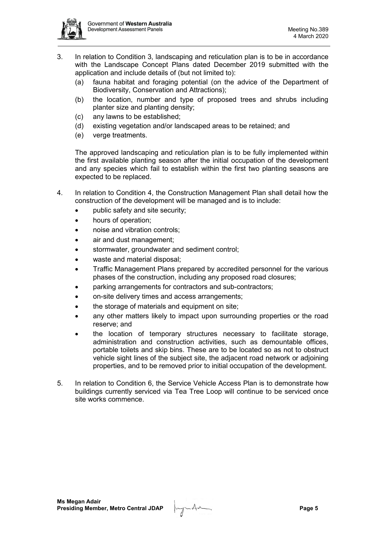

- 3. In relation to Condition 3, landscaping and reticulation plan is to be in accordance with the Landscape Concept Plans dated December 2019 submitted with the application and include details of (but not limited to):
	- (a) fauna habitat and foraging potential (on the advice of the Department of Biodiversity, Conservation and Attractions);
	- (b) the location, number and type of proposed trees and shrubs including planter size and planting density;
	- (c) any lawns to be established;
	- (d) existing vegetation and/or landscaped areas to be retained; and
	- (e) verge treatments.

The approved landscaping and reticulation plan is to be fully implemented within the first available planting season after the initial occupation of the development and any species which fail to establish within the first two planting seasons are expected to be replaced.

- 4. In relation to Condition 4, the Construction Management Plan shall detail how the construction of the development will be managed and is to include:
	- public safety and site security;
	- hours of operation;
	- noise and vibration controls;
	- air and dust management:
	- stormwater, groundwater and sediment control;
	- waste and material disposal;
	- Traffic Management Plans prepared by accredited personnel for the various phases of the construction, including any proposed road closures;
	- parking arrangements for contractors and sub-contractors;
	- on-site delivery times and access arrangements;
	- the storage of materials and equipment on site;
	- any other matters likely to impact upon surrounding properties or the road reserve; and
	- the location of temporary structures necessary to facilitate storage, administration and construction activities, such as demountable offices, portable toilets and skip bins. These are to be located so as not to obstruct vehicle sight lines of the subject site, the adjacent road network or adjoining properties, and to be removed prior to initial occupation of the development.
- 5. In relation to Condition 6, the Service Vehicle Access Plan is to demonstrate how buildings currently serviced via Tea Tree Loop will continue to be serviced once site works commence.

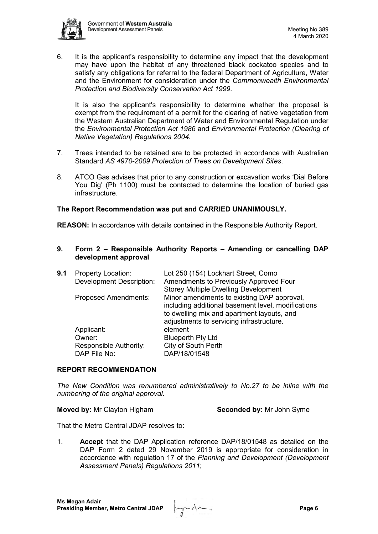

6. It is the applicant's responsibility to determine any impact that the development may have upon the habitat of any threatened black cockatoo species and to satisfy any obligations for referral to the federal Department of Agriculture, Water and the Environment for consideration under the *Commonwealth Environmental Protection and Biodiversity Conservation Act 1999*.

It is also the applicant's responsibility to determine whether the proposal is exempt from the requirement of a permit for the clearing of native vegetation from the Western Australian Department of Water and Environmental Regulation under the *Environmental Protection Act 1986* and *Environmental Protection (Clearing of Native Vegetation) Regulations 2004.*

- 7. Trees intended to be retained are to be protected in accordance with Australian Standard *AS 4970-2009 Protection of Trees on Development Sites*.
- 8. ATCO Gas advises that prior to any construction or excavation works 'Dial Before You Dig' (Ph 1100) must be contacted to determine the location of buried gas infrastructure

## **The Report Recommendation was put and CARRIED UNANIMOUSLY.**

**REASON:** In accordance with details contained in the Responsible Authority Report.

**9. Form 2 – Responsible Authority Reports – Amending or cancelling DAP development approval**

| 9.1 | <b>Property Location:</b>       | Lot 250 (154) Lockhart Street, Como                |
|-----|---------------------------------|----------------------------------------------------|
|     | <b>Development Description:</b> | Amendments to Previously Approved Four             |
|     |                                 | <b>Storey Multiple Dwelling Development</b>        |
|     | <b>Proposed Amendments:</b>     | Minor amendments to existing DAP approval,         |
|     |                                 | including additional basement level, modifications |
|     |                                 | to dwelling mix and apartment layouts, and         |
|     |                                 | adjustments to servicing infrastructure.           |
|     | Applicant:                      | element                                            |
|     | Owner:                          | <b>Blueperth Pty Ltd</b>                           |
|     | <b>Responsible Authority:</b>   | City of South Perth                                |
|     | DAP File No:                    | DAP/18/01548                                       |
|     |                                 |                                                    |

#### **REPORT RECOMMENDATION**

*The New Condition was renumbered administratively to No.27 to be inline with the numbering of the original approval.* 

**Moved by:** Mr Clayton Higham **Seconded by:** Mr John Syme

That the Metro Central JDAP resolves to:

1. **Accept** that the DAP Application reference DAP/18/01548 as detailed on the DAP Form 2 dated 29 November 2019 is appropriate for consideration in accordance with regulation 17 of the *Planning and Development (Development Assessment Panels) Regulations 2011*;

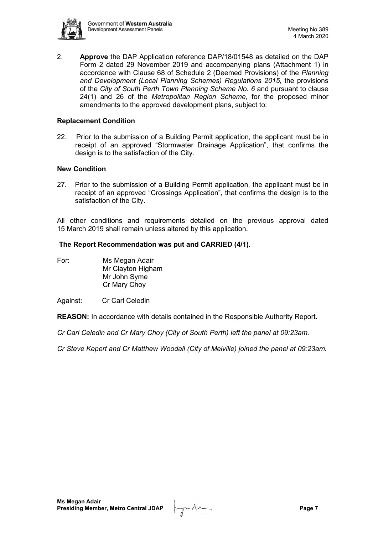

2. **Approve** the DAP Application reference DAP/18/01548 as detailed on the DAP Form 2 dated 29 November 2019 and accompanying plans (Attachment 1) in accordance with Clause 68 of Schedule 2 (Deemed Provisions) of the *Planning*  and Development (Local Planning Schemes) Regulations 2015, the provisions of the *City of South Perth Town Planning Scheme No. 6* and pursuant to clause 24(1) and 26 of the *Metropolitan Region Scheme*, for the proposed minor amendments to the approved development plans, subject to:

## **Replacement Condition**

22.Prior to the submission of a Building Permit application, the applicant must be in receipt of an approved "Stormwater Drainage Application", that confirms the design is to the satisfaction of the City.

## **New Condition**

27. Prior to the submission of a Building Permit application, the applicant must be in receipt of an approved "Crossings Application", that confirms the design is to the satisfaction of the City.

All other conditions and requirements detailed on the previous approval dated 15 March 2019 shall remain unless altered by this application.

#### **The Report Recommendation was put and CARRIED (4/1).**

For: Ms Megan Adair Mr Clayton Higham Mr John Syme Cr Mary Choy

#### Against: Cr Carl Celedin

**REASON:** In accordance with details contained in the Responsible Authority Report.

*Cr Carl Celedin and Cr Mary Choy (City of South Perth) left the panel at 09:23am.*

*Cr Steve Kepert and Cr Matthew Woodall (City of Melville) joined the panel at 09:23am.*